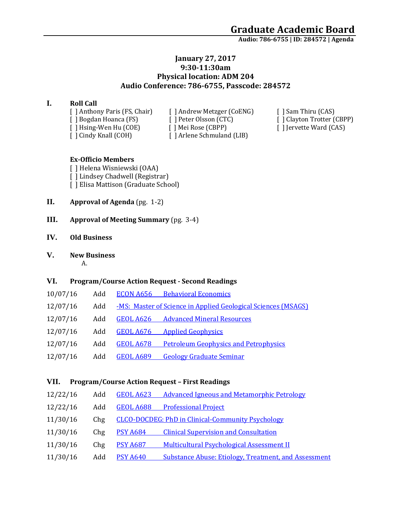**Audio: 786-6755 | ID: 284572 <sup>|</sup> Agenda**

#### **January 27, 2017 9:30-11:30am Physical location: ADM 204 Audio Conference: 786-6755, Passcode: 284572**

#### **I. Roll Call**

[ ] Anthony Paris (FS, Chair) [ ] Andrew Metzger (CoENG) [ ] Sam Thiru (CAS) [ ] Cindy Knall (COH) [ ] Arlene Schmuland (LIB)

[ ] Bogdan Hoanca (FS) [ ] Peter Olsson (CTC) [ ] Clayton Trotter (CBPP) [ ] Hsing-Wen Hu (COE) [ ] Mei Rose (CBPP) [ ] Jervette Ward (CAS)

#### **Ex-Officio Members**

[ ] Helena Wisniewski (OAA) [ ] Lindsey Chadwell (Registrar) [ ] Elisa Mattison (Graduate School)

- **II. Approval of Agenda** (pg. 1-2)
- **III. Approval of Meeting Summary** (pg. 3-4)
- **IV. Old Business**

#### **V. New Business**

A.

#### **VI. Program/Course Action Request - Second Readings**

| 10/07/16 | Add |                  | <b>ECON A656</b> Behavioral Economics                                |
|----------|-----|------------------|----------------------------------------------------------------------|
| 12/07/16 | Add |                  | <u>-MS: Master of Science in Applied Geological Sciences (MSAGS)</u> |
| 12/07/16 | Add |                  | <b>GEOL A626</b> Advanced Mineral Resources                          |
| 12/07/16 | Add | <b>GEOL A676</b> | <b>Applied Geophysics</b>                                            |
| 12/07/16 | Add | GEOL A678        | <b>Petroleum Geophysics and Petrophysics</b>                         |
| 12/07/16 | Add | <b>GEOL A689</b> | <b>Geology Graduate Seminar</b>                                      |

#### **VII. Program/Course Action Request – First Readings**

| 12/22/16<br>Add | GEOL A623       | <b>Advanced Igneous and Metamorphic Petrology</b>           |
|-----------------|-----------------|-------------------------------------------------------------|
| 12/22/16<br>Add |                 | <b>GEOL A688</b> Professional Project                       |
| 11/30/16<br>Chg |                 | <b>CLCO-DOCDEG: PhD in Clinical-Community Psychology</b>    |
| 11/30/16<br>Chg | <b>PSY A684</b> | <b>Clinical Supervision and Consultation</b>                |
| 11/30/16<br>Chg | <b>PSY A687</b> | <b>Multicultural Psychological Assessment II</b>            |
| 11/30/16<br>Add | <b>PSY A640</b> | <b>Substance Abuse: Etiology, Treatment, and Assessment</b> |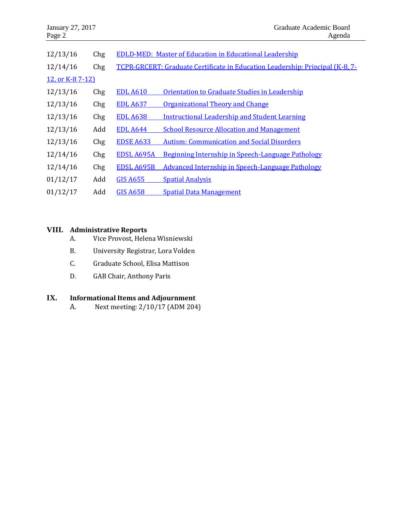| January 27, 2017<br>Page 2 |     |                   | Graduate Academic Board<br>Agenda                                             |
|----------------------------|-----|-------------------|-------------------------------------------------------------------------------|
| 12/13/16                   | Chg |                   | <b>EDLD-MED: Master of Education in Educational Leadership</b>                |
| 12/14/16                   | Chg |                   | TCPR-GRCERT: Graduate Certificate in Education Leadership: Principal (K-8, 7- |
| 12, or K-87-12)            |     |                   |                                                                               |
| 12/13/16                   | Chg | <b>EDL A610</b>   | Orientation to Graduate Studies in Leadership                                 |
| 12/13/16                   | Chg | <b>EDL A637</b>   | Organizational Theory and Change                                              |
| 12/13/16                   | Chg | <b>EDL A638</b>   | <b>Instructional Leadership and Student Learning</b>                          |
| 12/13/16                   | Add | <b>EDL A644</b>   | <b>School Resource Allocation and Management</b>                              |
| 12/13/16                   | Chg | <b>EDSE A633</b>  | <b>Autism: Communication and Social Disorders</b>                             |
| 12/14/16                   | Chg | <b>EDSL A695A</b> | Beginning Internship in Speech-Language Pathology                             |
| 12/14/16                   | Chg | EDSL A695B        | <b>Advanced Internship in Speech-Language Pathology</b>                       |
| 01/12/17                   | Add | <b>GIS A655</b>   | <b>Spatial Analysis</b>                                                       |
| 01/12/17                   | Add | <b>GIS A658</b>   | <b>Spatial Data Management</b>                                                |

### **VIII. Administrative Reports**

- A. Vice Provost, Helena Wisniewski
- B. University Registrar, Lora Volden
- C. Graduate School, Elisa Mattison
- D. GAB Chair, Anthony Paris

## **IX. Informational Items and Adjournment**

A. Next meeting: 2/10/17 (ADM 204)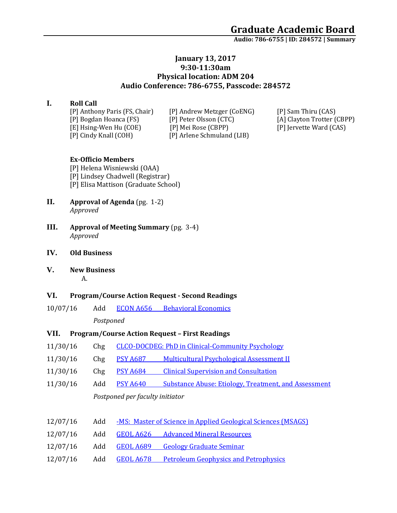**Audio: 786-6755 | ID: 284572 <sup>|</sup> Summary**

#### **January 13, 2017 9:30-11:30am Physical location: ADM 204 Audio Conference: 786-6755, Passcode: 284572**

#### **I. Roll Call**

[P] Anthony Paris (FS, Chair) [P] Andrew Metzger (CoENG) [P] Sam Thiru (CAS) [P] Cindy Knall (COH) [P] Arlene Schmuland (LIB)

[P] Bogdan Hoanca (FS) [P] Peter Olsson (CTC) [A] Clayton Trotter (CBPP) [E] Hsing-Wen Hu (COE) [P] Mei Rose (CBPP) [P] Jervette Ward (CAS)

#### **Ex-Officio Members**

[P] Helena Wisniewski (OAA) [P] Lindsey Chadwell (Registrar) [P] Elisa Mattison (Graduate School)

- **II. Approval of Agenda** (pg. 1-2) *Approved*
- **III. Approval of Meeting Summary** (pg. 3-4) *Approved*
- **IV. Old Business**
- **V. New Business**

# A.

#### **VI. Program/Course Action Request - Second Readings**

- 10/07/16 Add ECON A656 [Behavioral Economics](https://nextcatalog.uaa.alaska.edu/courseleaf/courseleaf.cgi?page=/courseadmin/7341/index.html&step=tcadiff) *Postponed*
- **VII. Program/Course Action Request – First Readings**
- 11/30/16 Chg [CLCO-DOCDEG: PhD in Clinical-Community Psychology](https://nextcatalog.uaa.alaska.edu/courseleaf/courseleaf.cgi?page=/programadmin/7/index.html&step=tcadiff)
- 11/30/16 Chg PSY A687 [Multicultural Psychological Assessment II](https://nextcatalog.uaa.alaska.edu/courseleaf/courseleaf.cgi?page=/courseadmin/5677/index.html&step=tcadiff)
- 11/30/16 Chg PSY A684 [Clinical Supervision and Consultation](https://nextcatalog.uaa.alaska.edu/courseleaf/courseleaf.cgi?page=/courseadmin/5673/index.html&step=tcadiff)
- 11/30/16 Add PSY A640 [Substance Abuse: Etiology, Treatment, and Assessment](https://nextcatalog.uaa.alaska.edu/courseleaf/courseleaf.cgi?page=/courseadmin/7789/index.html&step=tcadiff) *Postponed per faculty initiator*

| 12/07/16 | Add |  |  |  |  | -MS: Master of Science in Applied Geological Sciences (MSAGS) |  |
|----------|-----|--|--|--|--|---------------------------------------------------------------|--|
|          |     |  |  |  |  |                                                               |  |

- 12/07/16 Add GEOL A626 [Advanced Mineral Resources](https://nextcatalog.uaa.alaska.edu/courseleaf/courseleaf.cgi?page=/courseadmin/7862/index.html&step=tcadiff)
- 12/07/16 Add GEOL A689 [Geology Graduate Seminar](https://nextcatalog.uaa.alaska.edu/courseleaf/courseleaf.cgi?page=/courseadmin/7866/index.html&step=tcadiff)
- 12/07/16 Add GEOL A678 [Petroleum Geophysics and Petrophysics](https://nextcatalog.uaa.alaska.edu/courseleaf/courseleaf.cgi?page=/courseadmin/7865/index.html&step=tcadiff)